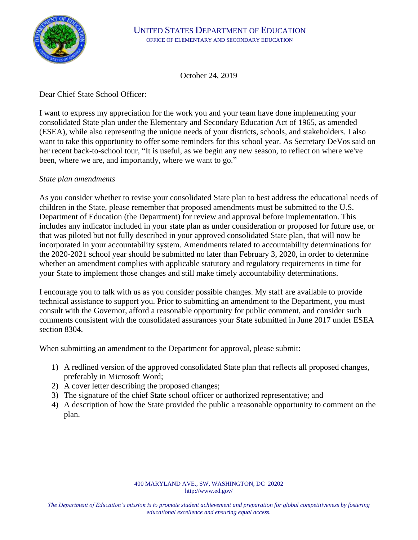

October 24, 2019

## Dear Chief State School Officer:

I want to express my appreciation for the work you and your team have done implementing your consolidated State plan under the Elementary and Secondary Education Act of 1965, as amended (ESEA), while also representing the unique needs of your districts, schools, and stakeholders. I also want to take this opportunity to offer some reminders for this school year. As Secretary DeVos said on her recent back-to-school tour, "It is useful, as we begin any new season, to reflect on where we've been, where we are, and importantly, where we want to go."

### *State plan amendments*

As you consider whether to revise your consolidated State plan to best address the educational needs of children in the State, please remember that proposed amendments must be submitted to the U.S. Department of Education (the Department) for review and approval before implementation. This includes any indicator included in your state plan as under consideration or proposed for future use, or that was piloted but not fully described in your approved consolidated State plan, that will now be incorporated in your accountability system. Amendments related to accountability determinations for the 2020-2021 school year should be submitted no later than February 3, 2020, in order to determine whether an amendment complies with applicable statutory and regulatory requirements in time for your State to implement those changes and still make timely accountability determinations.

I encourage you to talk with us as you consider possible changes. My staff are available to provide technical assistance to support you. Prior to submitting an amendment to the Department, you must consult with the Governor, afford a reasonable opportunity for public comment, and consider such comments consistent with the consolidated assurances your State submitted in June 2017 under ESEA section 8304.

When submitting an amendment to the Department for approval, please submit:

- 1) A redlined version of the approved consolidated State plan that reflects all proposed changes, preferably in Microsoft Word;
- 2) A cover letter describing the proposed changes;
- 3) The signature of the chief State school officer or authorized representative; and
- 4) A description of how the State provided the public a reasonable opportunity to comment on the plan.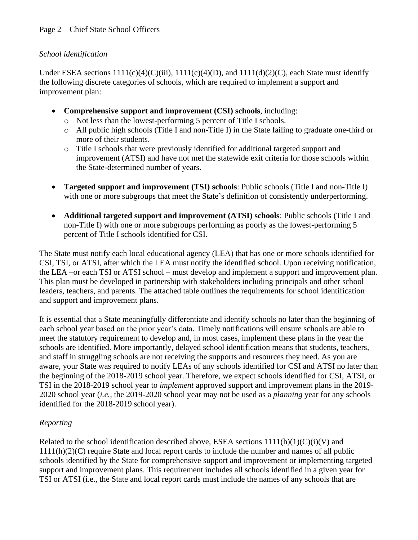## *School identification*

Under ESEA sections  $1111(c)(4)(C(iii), 1111(c)(4)(D)$ , and  $1111(d)(2)(C)$ , each State must identify the following discrete categories of schools, which are required to implement a support and improvement plan:

- **Comprehensive support and improvement (CSI) schools**, including:
	- o Not less than the lowest-performing 5 percent of Title I schools.
	- o All public high schools (Title I and non-Title I) in the State failing to graduate one-third or more of their students.
	- o Title I schools that were previously identified for additional targeted support and improvement (ATSI) and have not met the statewide exit criteria for those schools within the State-determined number of years.
- **Targeted support and improvement (TSI) schools**: Public schools (Title I and non-Title I) with one or more subgroups that meet the State's definition of consistently underperforming.
- **Additional targeted support and improvement (ATSI) schools**: Public schools (Title I and non-Title I) with one or more subgroups performing as poorly as the lowest-performing 5 percent of Title I schools identified for CSI.

The State must notify each local educational agency (LEA) that has one or more schools identified for CSI, TSI, or ATSI, after which the LEA must notify the identified school. Upon receiving notification, the LEA –or each TSI or ATSI school – must develop and implement a support and improvement plan. This plan must be developed in partnership with stakeholders including principals and other school leaders, teachers, and parents. The attached table outlines the requirements for school identification and support and improvement plans.

It is essential that a State meaningfully differentiate and identify schools no later than the beginning of each school year based on the prior year's data. Timely notifications will ensure schools are able to meet the statutory requirement to develop and, in most cases, implement these plans in the year the schools are identified. More importantly, delayed school identification means that students, teachers, and staff in struggling schools are not receiving the supports and resources they need. As you are aware, your State was required to notify LEAs of any schools identified for CSI and ATSI no later than the beginning of the 2018-2019 school year. Therefore, we expect schools identified for CSI, ATSI, or TSI in the 2018-2019 school year to *implement* approved support and improvement plans in the 2019- 2020 school year (*i.e.,* the 2019-2020 school year may not be used as a *planning* year for any schools identified for the 2018-2019 school year).

# *Reporting*

Related to the school identification described above, ESEA sections  $1111(h)(1)(C)(i)(V)$  and 1111(h)(2)(C) require State and local report cards to include the number and names of all public schools identified by the State for comprehensive support and improvement or implementing targeted support and improvement plans. This requirement includes all schools identified in a given year for TSI or ATSI (i.e., the State and local report cards must include the names of any schools that are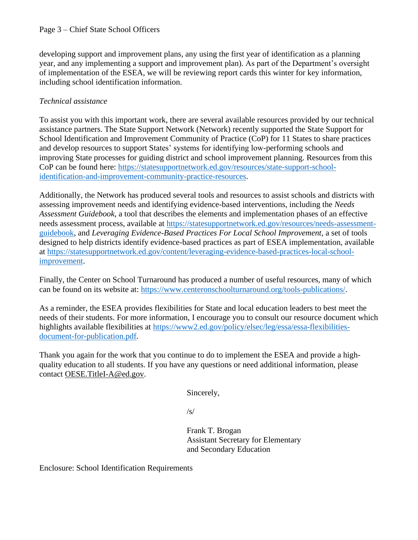#### Page 3 – Chief State School Officers

developing support and improvement plans, any using the first year of identification as a planning year, and any implementing a support and improvement plan). As part of the Department's oversight of implementation of the ESEA, we will be reviewing report cards this winter for key information, including school identification information.

### *Technical assistance*

To assist you with this important work, there are several available resources provided by our technical assistance partners. The State Support Network (Network) recently supported the State Support for School Identification and Improvement Community of Practice (CoP) for 11 States to share practices and develop resources to support States' systems for identifying low-performing schools and improving State processes for guiding district and school improvement planning. Resources from this CoP can be found here: [https://statesupportnetwork.ed.gov/resources/state-support-school](https://statesupportnetwork.ed.gov/resources/state-support-school-identification-and-improvement-community-practice-resources)[identification-and-improvement-community-practice-resources.](https://statesupportnetwork.ed.gov/resources/state-support-school-identification-and-improvement-community-practice-resources)

Additionally, the Network has produced several tools and resources to assist schools and districts with assessing improvement needs and identifying evidence-based interventions, including the *Needs Assessment Guidebook*, a tool that describes the elements and implementation phases of an effective needs assessment process, available at [https://statesupportnetwork.ed.gov/resources/needs-assessment](https://statesupportnetwork.ed.gov/resources/needs-assessment-guidebook)[guidebook,](https://statesupportnetwork.ed.gov/resources/needs-assessment-guidebook) and *Leveraging Evidence-Based Practices For Local School Improvement*, a set of tools designed to help districts identify evidence-based practices as part of ESEA implementation, available at [https://statesupportnetwork.ed.gov/content/leveraging-evidence-based-practices-local-school](https://statesupportnetwork.ed.gov/content/leveraging-evidence-based-practices-local-school-improvement)[improvement.](https://statesupportnetwork.ed.gov/content/leveraging-evidence-based-practices-local-school-improvement)

Finally, the Center on School Turnaround has produced a number of useful resources, many of which can be found on its website at: [https://www.centeronschoolturnaround.org/tools-publications/.](https://www.centeronschoolturnaround.org/tools-publications/)

As a reminder, the ESEA provides flexibilities for State and local education leaders to best meet the needs of their students. For more information, I encourage you to consult our resource document which highlights available flexibilities at [https://www2.ed.gov/policy/elsec/leg/essa/essa-flexibilities](https://www2.ed.gov/policy/elsec/leg/essa/essa-flexibilities-document-for-publication.pdf)[document-for-publication.pdf.](https://www2.ed.gov/policy/elsec/leg/essa/essa-flexibilities-document-for-publication.pdf)

Thank you again for the work that you continue to do to implement the ESEA and provide a highquality education to all students. If you have any questions or need additional information, please contact OESE.TitleI-A@ed.gov.

Sincerely,

/s/

Frank T. Brogan Assistant Secretary for Elementary and Secondary Education

Enclosure: School Identification Requirements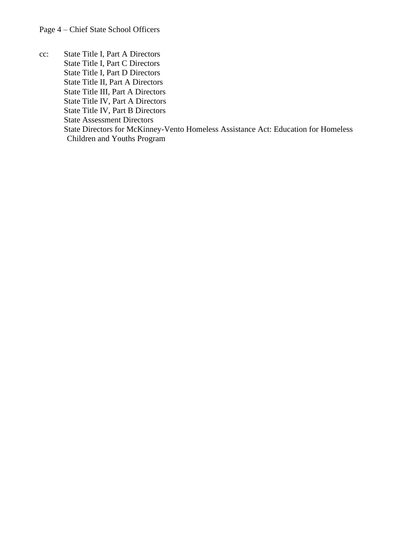cc: State Title I, Part A Directors State Title I, Part C Directors State Title I, Part D Directors State Title II, Part A Directors State Title III, Part A Directors State Title IV, Part A Directors State Title IV, Part B Directors State Assessment Directors State Directors for McKinney-Vento Homeless Assistance Act: Education for Homeless Children and Youths Program